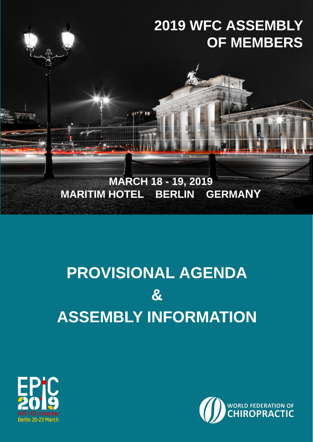# 2019 WFC ASSEMBLY OF MEMBERS MARCH 18 - 19, 2019 MARITIM HOTEL BERLIN GERMANY

### PROVISIONAL AGENDA & ASSEMBLY INFORMATION



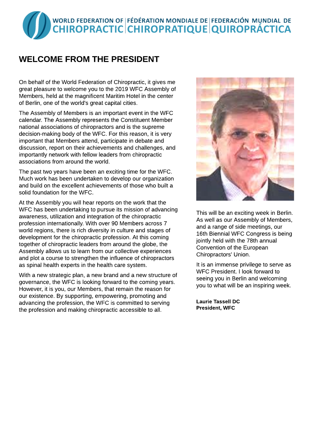## WORLD FEDERATION OF FÉDÉRATION MONDIALE DE FEDERACIÓN MUNDIAL DE<br>CHIROPRACTIC CHIROPRATIQUE QUIROPRÁCTICA

#### WELCOME FROM THE PRESIDENT

On behalf of the World Federation of Chiropractic, it gives me great pleasure to welcome you to the 2019 WFC Assembly of Members, held at the magnificent Maritim Hotel in the center of Berlin, one of the world's great capital cities.

The Assembly of Members is an important event in the WFC calendar. The Assembly represents the Constituent Member national associations of chiropractors and is the supreme decision-making body of the WFC. For this reason, it is very important that Members attend, participate in debate and discussion, report on their achievements and challenges, and importantly network with fellow leaders from chiropractic associations from around the world.

The past two years have been an exciting time for the WFC. Much work has been undertaken to develop our organization and build on the excellent achievements of those who built a solid foundation for the WFC.

At the Assembly you will hear reports on the work that the WFC has been undertaking to pursue its mission of advancing awareness, utilization and integration of the chiropractic profession internationally. With over 90 Members across 7 world regions, there is rich diversity in culture and stages of development for the chiropractic profession. At this coming together of chiropractic leaders from around the globe, the Assembly allows us to learn from our collective experiences and plot a course to strengthen the influence of chiropractors as spinal health experts in the health care system.

With a new strategic plan, a new brand and a new structure of governance, the WFC is looking forward to the coming years. However, it is you, our Members, that remain the reason for our existence. By supporting, empowering, promoting and advancing the profession, the WFC is committed to serving the profession and making chiropractic accessible to all.



This will be an exciting week in Berlin. As well as our Assembly of Members, and a range of side meetings, our 16th Biennial WFC Congress is being jointly held with the 78th annual Convention of the European Chiropractors' Union.

It is an immense privilege to serve as WFC President. I look forward to seeing you in Berlin and welcoming you to what will be an inspiring week.

Laurie Tassell DC President, WFC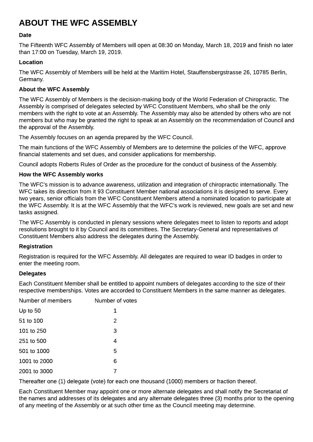#### ABOUT THE WFC ASSEMBLY

#### Date

The Fifteenth WFC Assembly of Members will open at 08:30 on Monday, March 18, 2019 and finish no later than 17:00 on Tuesday, March 19, 2019.

#### Location

The WFC Assembly of Members will be held at the Maritim Hotel, Stauffensbergstrasse 26, 10785 Berlin, Germany.

#### About the WFC Assembly

The WFC Assembly of Members is the decision-making body of the World Federation of Chiropractic. The Assembly is comprised of delegates selected by WFC Constituent Members, who shall be the only members with the right to vote at an Assembly. The Assembly may also be attended by others who are not members but who may be granted the right to speak at an Assembly on the recommendation of Council and the approval of the Assembly.

The Assembly focuses on an agenda prepared by the WFC Council.

The main functions of the WFC Assembly of Members are to determine the policies of the WFC, approve financial statements and set dues, and consider applications for membership.

Council adopts Roberts Rules of Order as the procedure for the conduct of business of the Assembly.

#### How the WFC Assembly works

The WFC?s mission is to advance awareness, utilization and integration of chiropractic internationally. The WFC takes its direction from it 93 Constituent Member national associations it is designed to serve. Every two years, senior officials from the WFC Constituent Members attend a nominated location to participate at the WFC Assembly. It is at the WFC Assembly that the WFC?s work is reviewed, new goals are set and new tasks assigned.

The WFC Assembly is conducted in plenary sessions where delegates meet to listen to reports and adopt resolutions brought to it by Council and its committees. The Secretary-General and representatives of Constituent Members also address the delegates during the Assembly.

#### Registration

Registration is required for the WFC Assembly. All delegates are required to wear ID badges in order to enter the meeting room.

#### Delegates

Each Constituent Member shall be entitled to appoint numbers of delegates according to the size of their respective memberships. Votes are accorded to Constituent Members in the same manner as delegates.

| Number of members | Number of votes |
|-------------------|-----------------|
| Up to $50$        | 1               |
| 51 to 100         | 2               |
| 101 to 250        | 3               |
| 251 to 500        | 4               |
| 501 to 1000       | 5               |
| 1001 to 2000      | 6               |
| 2001 to 3000      |                 |

Thereafter one (1) delegate (vote) for each one thousand (1000) members or fraction thereof.

Each Constituent Member may appoint one or more alternate delegates and shall notify the Secretariat of the names and addresses of its delegates and any alternate delegates three (3) months prior to the opening of any meeting of the Assembly or at such other time as the Council meeting may determine.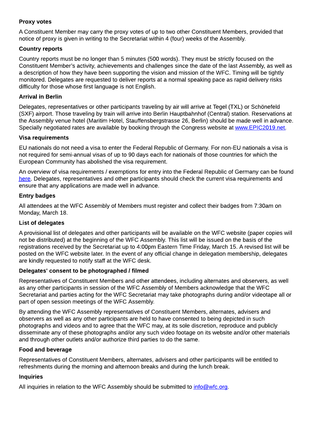#### Proxy votes

A Constituent Member may carry the proxy votes of up to two other Constituent Members, provided that notice of proxy is given in writing to the Secretariat within 4 (four) weeks of the Assembly.

#### Country reports

Country reports must be no longer than 5 minutes (500 words). They must be strictly focused on the Constituent Member?s activity, achievements and challenges since the date of the last Assembly, as well as a description of how they have been supporting the vision and mission of the WFC. Timing will be tightly monitored. Delegates are requested to deliver reports at a normal speaking pace as rapid delivery risks difficulty for those whose first language is not English.

#### Arrival in Berlin

Delegates, representatives or other participants traveling by air will arrive at Tegel (TXL) or Schönefeld (SXF) airport. Those traveling by train will arrive into Berlin Hauptbahnhof (Central) station. Reservations at the Assembly venue hotel (Maritim Hotel, Stauffensbergstrasse 26, Berlin) should be made well in advance. Specially negotiated rates are available by booking through the Congress website at [www.EPIC2019.net](http://www.EPIC2019.net).

#### Visa requirements

EU nationals do not need a visa to enter the Federal Republic of Germany. For non-EU nationals a visa is not required for semi-annual visas of up to 90 days each for nationals of those countries for which the European Community has abolished the visa requirement.

An overview of visa requirements / exemptions for entry into the Federal Republic of Germany can be found [here.](https://www.auswaertiges-amt.de/en/einreiseundaufenthalt/visabestimmungen-node/staatenlistevisumpflicht-node) Delegates, representatives and other participants should check the current visa requirements and ensure that any applications are made well in advance.

#### Entry badges

All attendees at the WFC Assembly of Members must register and collect their badges from 7:30am on Monday, March 18.

#### List of delegates

A provisional list of delegates and other participants will be available on the WFC website (paper copies will not be distributed) at the beginning of the WFC Assembly. This list will be issued on the basis of the registrations received by the Secretariat up to 4:00pm Eastern Time Friday, March 15. A revised list will be posted on the WFC website later. In the event of any official change in delegation membership, delegates are kindly requested to notify staff at the WFC desk.

#### Delegates' consent to be photographed / filmed

Representatives of Constituent Members and other attendees, including alternates and observers, as well as any other participants in session of the WFC Assembly of Members acknowledge that the WFC Secretariat and parties acting for the WFC Secretariat may take photographs during and/or videotape all or part of open session meetings of the WFC Assembly.

By attending the WFC Assembly representatives of Constituent Members, alternates, advisers and observers as well as any other participants are held to have consented to being depicted in such photographs and videos and to agree that the WFC may, at its sole discretion, reproduce and publicly disseminate any of these photographs and/or any such video footage on its website and/or other materials and through other outlets and/or authorize third parties to do the same.

#### Food and beverage

Representatives of Constituent Members, alternates, advisers and other participants will be entitled to refreshments during the morning and afternoon breaks and during the lunch break.

#### Inquiries

All inquiries in relation to the WFC Assembly should be submitted to  $\frac{info@wfc.org}{}$ .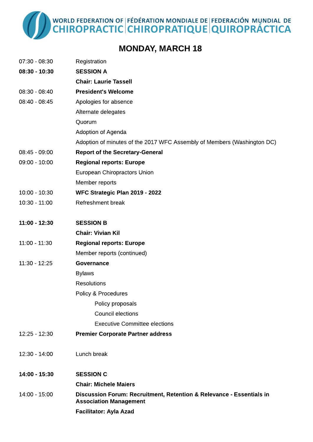WORLD FEDERATION OF FÉDÉRATION MONDIALE DE FEDERACIÓN MUNDIAL DE<br>CHIROPRACTIC CHIROPRATIQUE QUIROPRÁCTICA

#### MONDAY, MARCH 18

| $07:30 - 08:30$ | Registration                                                                                          |
|-----------------|-------------------------------------------------------------------------------------------------------|
| $08:30 - 10:30$ | <b>SESSION A</b>                                                                                      |
|                 | <b>Chair: Laurie Tassell</b>                                                                          |
| $08:30 - 08:40$ | <b>President's Welcome</b>                                                                            |
| 08:40 - 08:45   | Apologies for absence                                                                                 |
|                 | Alternate delegates                                                                                   |
|                 | Quorum                                                                                                |
|                 | Adoption of Agenda                                                                                    |
|                 | Adoption of minutes of the 2017 WFC Assembly of Members (Washington DC)                               |
| 08:45 - 09:00   | <b>Report of the Secretary-General</b>                                                                |
| $09:00 - 10:00$ | <b>Regional reports: Europe</b>                                                                       |
|                 | European Chiropractors Union                                                                          |
|                 | Member reports                                                                                        |
| $10:00 - 10:30$ | WFC Strategic Plan 2019 - 2022                                                                        |
| $10:30 - 11:00$ | Refreshment break                                                                                     |
| 11:00 - 12:30   | <b>SESSION B</b>                                                                                      |
|                 | <b>Chair: Vivian Kil</b>                                                                              |
| $11:00 - 11:30$ | <b>Regional reports: Europe</b>                                                                       |
|                 | Member reports (continued)                                                                            |
| 11:30 - 12:25   | <b>Governance</b>                                                                                     |
|                 | <b>Bylaws</b>                                                                                         |
|                 | Resolutions                                                                                           |
|                 | Policy & Procedures                                                                                   |
|                 | Policy proposals                                                                                      |
|                 | <b>Council elections</b>                                                                              |
|                 | <b>Executive Committee elections</b>                                                                  |
| $12:25 - 12:30$ | <b>Premier Corporate Partner address</b>                                                              |
| 12:30 - 14:00   | Lunch break                                                                                           |
| 14:00 - 15:30   | <b>SESSION C</b>                                                                                      |
|                 | <b>Chair: Michele Maiers</b>                                                                          |
| 14:00 - 15:00   | Discussion Forum: Recruitment, Retention & Relevance - Essentials in<br><b>Association Management</b> |
|                 | <b>Facilitator: Ayla Azad</b>                                                                         |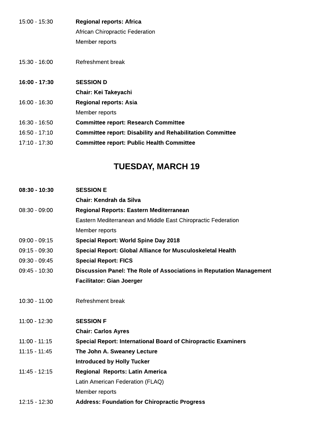| 15:00 - 15:30   | <b>Regional reports: Africa</b>                                  |
|-----------------|------------------------------------------------------------------|
|                 | African Chiropractic Federation                                  |
|                 | Member reports                                                   |
| 15:30 - 16:00   | Refreshment break                                                |
| 16:00 - 17:30   | <b>SESSION D</b>                                                 |
|                 | <b>Chair: Kei Takeyachi</b>                                      |
| 16:00 - 16:30   | <b>Regional reports: Asia</b>                                    |
|                 | Member reports                                                   |
| 16:30 - 16:50   | <b>Committee report: Research Committee</b>                      |
| $16:50 - 17:10$ | <b>Committee report: Disability and Rehabilitation Committee</b> |
| 17:10 - 17:30   | <b>Committee report: Public Health Committee</b>                 |
|                 |                                                                  |

#### TUESDAY, MARCH 19

| $08:30 - 10:30$ | <b>SESSION E</b>                                                           |
|-----------------|----------------------------------------------------------------------------|
|                 | Chair: Kendrah da Silva                                                    |
| $08:30 - 09:00$ | Regional Reports: Eastern Mediterranean                                    |
|                 | Eastern Mediterranean and Middle East Chiropractic Federation              |
|                 | Member reports                                                             |
| $09:00 - 09:15$ | <b>Special Report: World Spine Day 2018</b>                                |
| $09:15 - 09:30$ | <b>Special Report: Global Alliance for Musculoskeletal Health</b>          |
| 09:30 - 09:45   | <b>Special Report: FICS</b>                                                |
| 09:45 - 10:30   | <b>Discussion Panel: The Role of Associations in Reputation Management</b> |
|                 | <b>Facilitator: Gian Joerger</b>                                           |
|                 |                                                                            |
| $10:30 - 11:00$ | Refreshment break                                                          |
|                 |                                                                            |
| $11:00 - 12:30$ | <b>SESSION F</b>                                                           |
|                 | <b>Chair: Carlos Ayres</b>                                                 |
| $11:00 - 11:15$ | <b>Special Report: International Board of Chiropractic Examiners</b>       |
| $11:15 - 11:45$ | The John A. Sweaney Lecture                                                |
|                 | <b>Introduced by Holly Tucker</b>                                          |
| $11.45 - 12.15$ | <b>Regional Reports: Latin America</b>                                     |
|                 | Latin American Federation (FLAQ)                                           |
|                 | Member reports                                                             |
| $12:15 - 12:30$ | <b>Address: Foundation for Chiropractic Progress</b>                       |
|                 |                                                                            |